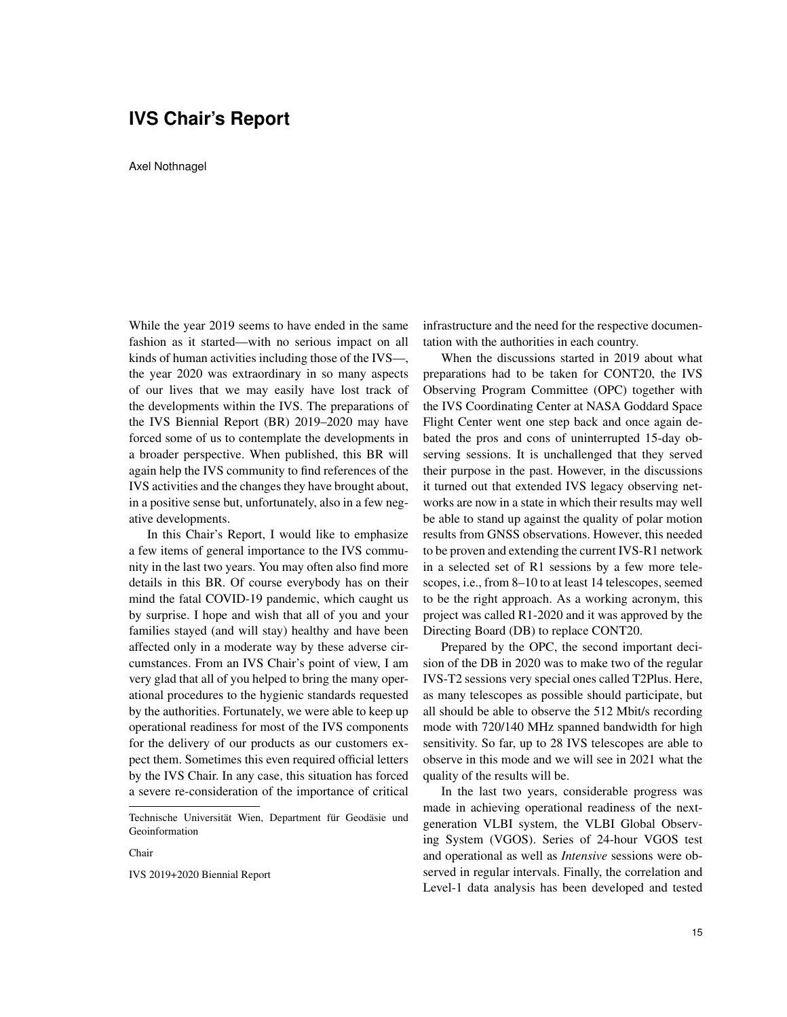## **IVS Chair's Report**

Axel Nothnagel

While the year 2019 seems to have ended in the same fashion as it started—with no serious impact on all kinds of human activities including those of the IVS—, the year 2020 was extraordinary in so many aspects of our lives that we may easily have lost track of the developments within the IVS. The preparations of the IVS Biennial Report (BR) 2019–2020 may have forced some of us to contemplate the developments in a broader perspective. When published, this BR will again help the IVS community to find references of the IVS activities and the changes they have brought about, in a positive sense but, unfortunately, also in a few negative developments.

In this Chair's Report, I would like to emphasize a few items of general importance to the IVS community in the last two years. You may often also find more details in this BR. Of course everybody has on their mind the fatal COVID-19 pandemic, which caught us by surprise. I hope and wish that all of you and your families stayed (and will stay) healthy and have been affected only in a moderate way by these adverse circumstances. From an IVS Chair's point of view, I am very glad that all of you helped to bring the many operational procedures to the hygienic standards requested by the authorities. Fortunately, we were able to keep up operational readiness for most of the IVS components for the delivery of our products as our customers expect them. Sometimes this even required official letters by the IVS Chair. In any case, this situation has forced a severe re-consideration of the importance of critical

Technische Universität Wien, Department für Geodäsie und Geoinformation

Chair

IVS 2019+2020 Biennial Report

infrastructure and the need for the respective documentation with the authorities in each country.

When the discussions started in 2019 about what preparations had to be taken for CONT20, the IVS Observing Program Committee (OPC) together with the IVS Coordinating Center at NASA Goddard Space Flight Center went one step back and once again debated the pros and cons of uninterrupted 15-day observing sessions. It is unchallenged that they served their purpose in the past. However, in the discussions it turned out that extended IVS legacy observing networks are now in a state in which their results may well be able to stand up against the quality of polar motion results from GNSS observations. However, this needed to be proven and extending the current IVS-R1 network in a selected set of R1 sessions by a few more telescopes, i.e., from 8–10 to at least 14 telescopes, seemed to be the right approach. As a working acronym, this project was called R1-2020 and it was approved by the Directing Board (DB) to replace CONT20.

Prepared by the OPC, the second important decision of the DB in 2020 was to make two of the regular IVS-T2 sessions very special ones called T2Plus. Here, as many telescopes as possible should participate, but all should be able to observe the 512 Mbit/s recording mode with 720/140 MHz spanned bandwidth for high sensitivity. So far, up to 28 IVS telescopes are able to observe in this mode and we will see in 2021 what the quality of the results will be.

In the last two years, considerable progress was made in achieving operational readiness of the nextgeneration VLBI system, the VLBI Global Observing System (VGOS). Series of 24-hour VGOS test and operational as well as *Intensive* sessions were observed in regular intervals. Finally, the correlation and Level-1 data analysis has been developed and tested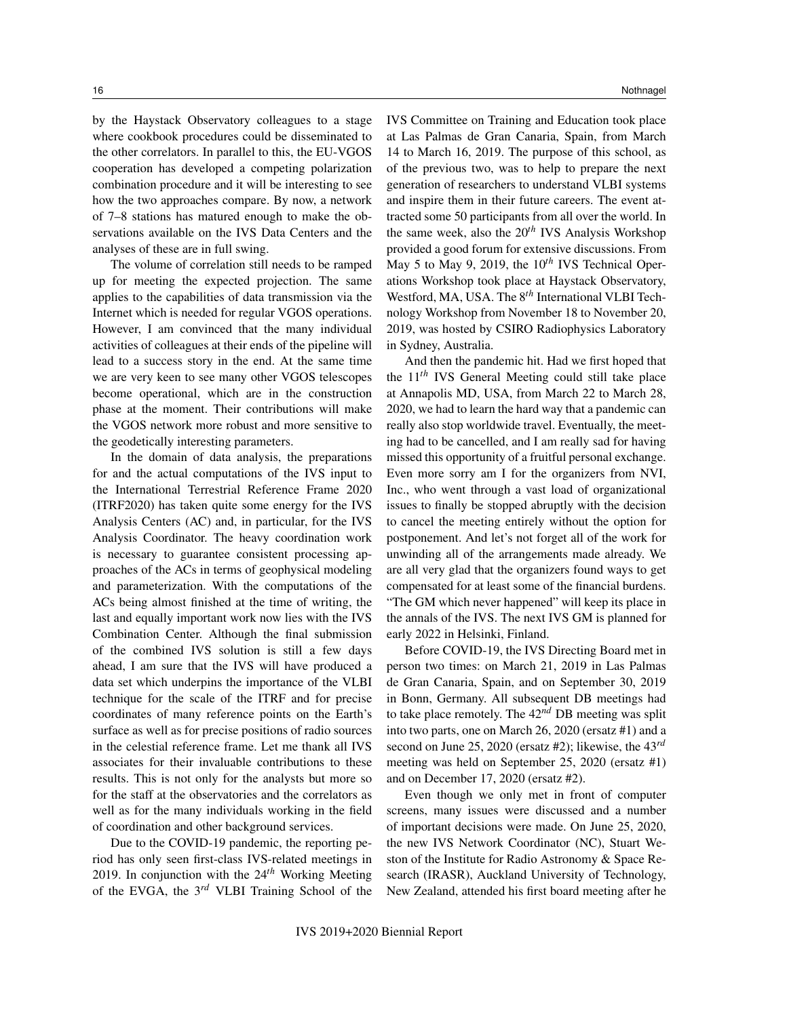by the Haystack Observatory colleagues to a stage where cookbook procedures could be disseminated to the other correlators. In parallel to this, the EU-VGOS cooperation has developed a competing polarization combination procedure and it will be interesting to see how the two approaches compare. By now, a network of 7–8 stations has matured enough to make the observations available on the IVS Data Centers and the analyses of these are in full swing.

The volume of correlation still needs to be ramped up for meeting the expected projection. The same applies to the capabilities of data transmission via the Internet which is needed for regular VGOS operations. However, I am convinced that the many individual activities of colleagues at their ends of the pipeline will lead to a success story in the end. At the same time we are very keen to see many other VGOS telescopes become operational, which are in the construction phase at the moment. Their contributions will make the VGOS network more robust and more sensitive to the geodetically interesting parameters.

In the domain of data analysis, the preparations for and the actual computations of the IVS input to the International Terrestrial Reference Frame 2020 (ITRF2020) has taken quite some energy for the IVS Analysis Centers (AC) and, in particular, for the IVS Analysis Coordinator. The heavy coordination work is necessary to guarantee consistent processing approaches of the ACs in terms of geophysical modeling and parameterization. With the computations of the ACs being almost finished at the time of writing, the last and equally important work now lies with the IVS Combination Center. Although the final submission of the combined IVS solution is still a few days ahead, I am sure that the IVS will have produced a data set which underpins the importance of the VLBI technique for the scale of the ITRF and for precise coordinates of many reference points on the Earth's surface as well as for precise positions of radio sources in the celestial reference frame. Let me thank all IVS associates for their invaluable contributions to these results. This is not only for the analysts but more so for the staff at the observatories and the correlators as well as for the many individuals working in the field of coordination and other background services.

Due to the COVID-19 pandemic, the reporting period has only seen first-class IVS-related meetings in 2019. In conjunction with the 24*th* Working Meeting of the EVGA, the 3*rd* VLBI Training School of the IVS Committee on Training and Education took place at Las Palmas de Gran Canaria, Spain, from March 14 to March 16, 2019. The purpose of this school, as of the previous two, was to help to prepare the next generation of researchers to understand VLBI systems and inspire them in their future careers. The event attracted some 50 participants from all over the world. In the same week, also the 20*th* IVS Analysis Workshop provided a good forum for extensive discussions. From May 5 to May 9, 2019, the 10*th* IVS Technical Operations Workshop took place at Haystack Observatory, Westford, MA, USA. The 8*th* International VLBI Technology Workshop from November 18 to November 20, 2019, was hosted by CSIRO Radiophysics Laboratory in Sydney, Australia.

And then the pandemic hit. Had we first hoped that the 11*th* IVS General Meeting could still take place at Annapolis MD, USA, from March 22 to March 28, 2020, we had to learn the hard way that a pandemic can really also stop worldwide travel. Eventually, the meeting had to be cancelled, and I am really sad for having missed this opportunity of a fruitful personal exchange. Even more sorry am I for the organizers from NVI, Inc., who went through a vast load of organizational issues to finally be stopped abruptly with the decision to cancel the meeting entirely without the option for postponement. And let's not forget all of the work for unwinding all of the arrangements made already. We are all very glad that the organizers found ways to get compensated for at least some of the financial burdens. "The GM which never happened" will keep its place in the annals of the IVS. The next IVS GM is planned for early 2022 in Helsinki, Finland.

Before COVID-19, the IVS Directing Board met in person two times: on March 21, 2019 in Las Palmas de Gran Canaria, Spain, and on September 30, 2019 in Bonn, Germany. All subsequent DB meetings had to take place remotely. The 42*nd* DB meeting was split into two parts, one on March 26, 2020 (ersatz #1) and a second on June 25, 2020 (ersatz #2); likewise, the 43*rd* meeting was held on September 25, 2020 (ersatz #1) and on December 17, 2020 (ersatz #2).

Even though we only met in front of computer screens, many issues were discussed and a number of important decisions were made. On June 25, 2020, the new IVS Network Coordinator (NC), Stuart Weston of the Institute for Radio Astronomy & Space Research (IRASR), Auckland University of Technology, New Zealand, attended his first board meeting after he